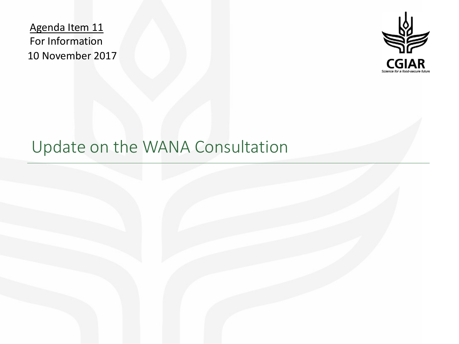Agenda Item 11 For Information 10 November 2017



# Update on the WANA Consultation

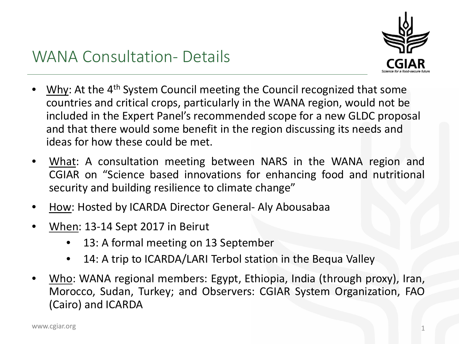

#### WANA Consultation- Details

- **Why:** At the  $4<sup>th</sup>$  System Council meeting the Council recognized that some countries and critical crops, particularly in the WANA region, would not be included in the Expert Panel's recommended scope for a new GLDC proposal and that there would some benefit in the region discussing its needs and ideas for how these could be met.
- What: A consultation meeting between NARS in the WANA region and CGIAR on "Science based innovations for enhancing food and nutritional security and building resilience to climate change"
- How: Hosted by ICARDA Director General- Aly Abousabaa
- When: 13-14 Sept 2017 in Beirut
	- 13: A formal meeting on 13 September
	- 14: A trip to ICARDA/LARI Terbol station in the Bequa Valley
- Who: WANA regional members: Egypt, Ethiopia, India (through proxy), Iran, Morocco, Sudan, Turkey; and Observers: CGIAR System Organization, FAO (Cairo) and ICARDA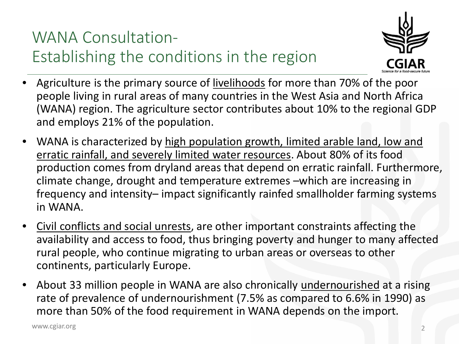## WANA Consultation-Establishing the conditions in the region



- Agriculture is the primary source of livelihoods for more than 70% of the poor people living in rural areas of many countries in the West Asia and North Africa (WANA) region. The agriculture sector contributes about 10% to the regional GDP and employs 21% of the population.
- WANA is characterized by high population growth, limited arable land, low and erratic rainfall, and severely limited water resources. About 80% of its food production comes from dryland areas that depend on erratic rainfall. Furthermore, climate change, drought and temperature extremes –which are increasing in frequency and intensity– impact significantly rainfed smallholder farming systems in WANA.
- Civil conflicts and social unrests, are other important constraints affecting the availability and access to food, thus bringing poverty and hunger to many affected rural people, who continue migrating to urban areas or overseas to other continents, particularly Europe.
- About 33 million people in WANA are also chronically undernourished at a rising rate of prevalence of undernourishment (7.5% as compared to 6.6% in 1990) as more than 50% of the food requirement in WANA depends on the import.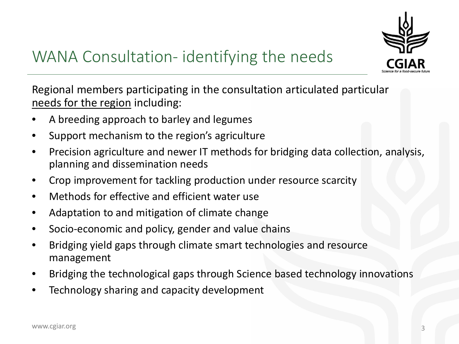

Regional members participating in the consultation articulated particular needs for the region including:

- A breeding approach to barley and legumes
- Support mechanism to the region's agriculture
- Precision agriculture and newer IT methods for bridging data collection, analysis, planning and dissemination needs
- Crop improvement for tackling production under resource scarcity
- Methods for effective and efficient water use
- Adaptation to and mitigation of climate change
- Socio-economic and policy, gender and value chains
- Bridging yield gaps through climate smart technologies and resource management
- Bridging the technological gaps through Science based technology innovations
- Technology sharing and capacity development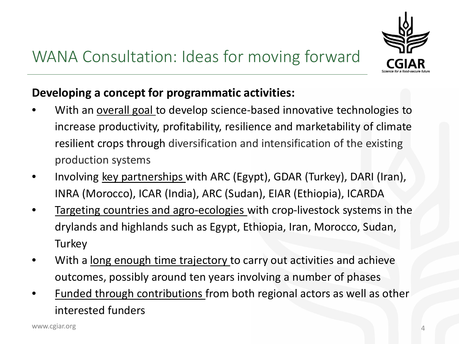

#### **Developing a concept for programmatic activities:**

- With an overall goal to develop science-based innovative technologies to increase productivity, profitability, resilience and marketability of climate resilient crops through diversification and intensification of the existing production systems
- Involving key partnerships with ARC (Egypt), GDAR (Turkey), DARI (Iran), INRA (Morocco), ICAR (India), ARC (Sudan), EIAR (Ethiopia), ICARDA
- Targeting countries and agro-ecologies with crop-livestock systems in the drylands and highlands such as Egypt, Ethiopia, Iran, Morocco, Sudan, **Turkey**
- With a long enough time trajectory to carry out activities and achieve outcomes, possibly around ten years involving a number of phases
- Funded through contributions from both regional actors as well as other interested funders